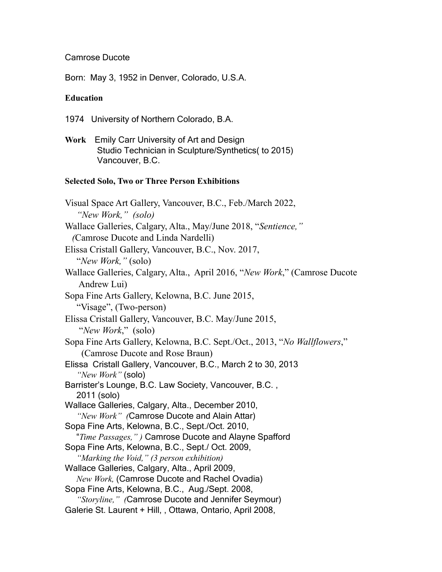#### Camrose Ducote

Born: May 3, 1952 in Denver, Colorado, U.S.A.

#### **Education**

- 1974 University of Northern Colorado, B.A.
- **Work** Emily Carr University of Art and Design Studio Technician in Sculpture/Synthetics( to 2015) Vancouver, B.C.

#### **Selected Solo, Two or Three Person Exhibitions**

Visual Space Art Gallery, Vancouver, B.C., Feb./March 2022, *"New Work," (solo)* Wallace Galleries, Calgary, Alta., May/June 2018, "*Sentience," (*Camrose Ducote and Linda Nardelli) Elissa Cristall Gallery, Vancouver, B.C., Nov. 2017, "*New Work,"* (solo) Wallace Galleries, Calgary, Alta., April 2016, "*New Work*," (Camrose Ducote Andrew Lui) Sopa Fine Arts Gallery, Kelowna, B.C. June 2015, "Visage", (Two-person) Elissa Cristall Gallery, Vancouver, B.C. May/June 2015, "*New Work*," (solo) Sopa Fine Arts Gallery, Kelowna, B.C. Sept./Oct., 2013, "*No Wallflowers*," (Camrose Ducote and Rose Braun) Elissa Cristall Gallery, Vancouver, B.C., March 2 to 30, 2013 *"New Work"* (solo) Barrister's Lounge, B.C. Law Society, Vancouver, B.C. , 2011 (solo) Wallace Galleries, Calgary, Alta., December 2010, *"New Work" (*Camrose Ducote and Alain Attar) Sopa Fine Arts, Kelowna, B.C., Sept./Oct. 2010, "*Time Passages," )* Camrose Ducote and Alayne Spafford Sopa Fine Arts, Kelowna, B.C., Sept./ Oct. 2009, *"Marking the Void," (3 person exhibition)* Wallace Galleries, Calgary, Alta., April 2009, *New Work,* (Camrose Ducote and Rachel Ovadia) Sopa Fine Arts, Kelowna, B.C., Aug./Sept. 2008, *"Storyline," (*Camrose Ducote and Jennifer Seymour) Galerie St. Laurent + Hill, , Ottawa, Ontario, April 2008,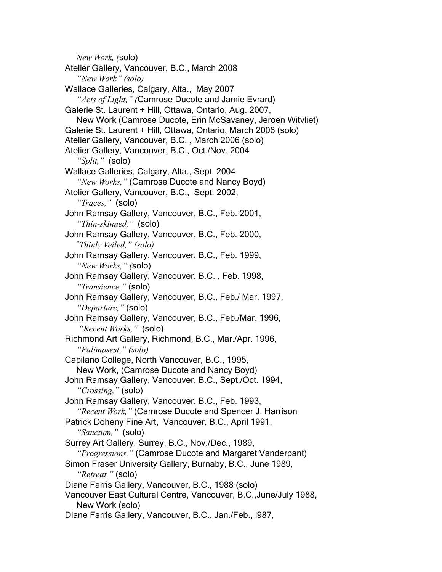*New Work, (*solo) Atelier Gallery, Vancouver, B.C., March 2008 *"New Work" (solo)* Wallace Galleries, Calgary, Alta., May 2007 *"Acts of Light," (*Camrose Ducote and Jamie Evrard) Galerie St. Laurent + Hill, Ottawa, Ontario, Aug. 2007, New Work (Camrose Ducote, Erin McSavaney, Jeroen Witvliet) Galerie St. Laurent + Hill, Ottawa, Ontario, March 2006 (solo) Atelier Gallery, Vancouver, B.C. , March 2006 (solo) Atelier Gallery, Vancouver, B.C., Oct./Nov. 2004 *"Split,"* (solo) Wallace Galleries, Calgary, Alta., Sept. 2004 *"New Works,"* (Camrose Ducote and Nancy Boyd) Atelier Gallery, Vancouver, B.C., Sept. 2002, *"Traces,"* (solo) John Ramsay Gallery, Vancouver, B.C., Feb. 2001, *"Thin-skinned,"* (solo) John Ramsay Gallery, Vancouver, B.C., Feb. 2000, "*Thinly Veiled," (solo)* John Ramsay Gallery, Vancouver, B.C., Feb. 1999, *"New Works," (*solo) John Ramsay Gallery, Vancouver, B.C. , Feb. 1998, *"Transience,"* (solo) John Ramsay Gallery, Vancouver, B.C., Feb./ Mar. 1997, *"Departure,"* (solo) John Ramsay Gallery, Vancouver, B.C., Feb./Mar. 1996, *"Recent Works,"* (solo) Richmond Art Gallery, Richmond, B.C., Mar./Apr. 1996, *"Palimpsest," (solo)* Capilano College, North Vancouver, B.C., 1995, New Work, (Camrose Ducote and Nancy Boyd) John Ramsay Gallery, Vancouver, B.C., Sept./Oct. 1994, *"Crossing,"* (solo) John Ramsay Gallery, Vancouver, B.C., Feb. 1993, *"Recent Work,"* (Camrose Ducote and Spencer J. Harrison Patrick Doheny Fine Art, Vancouver, B.C., April 1991, *"Sanctum,"* (solo) Surrey Art Gallery, Surrey, B.C., Nov./Dec., 1989, *"Progressions,"* (Camrose Ducote and Margaret Vanderpant) Simon Fraser University Gallery, Burnaby, B.C., June 1989, *"Retreat,"* (solo) Diane Farris Gallery, Vancouver, B.C., 1988 (solo) Vancouver East Cultural Centre, Vancouver, B.C.,June/July 1988, New Work (solo) Diane Farris Gallery, Vancouver, B.C., Jan./Feb., l987,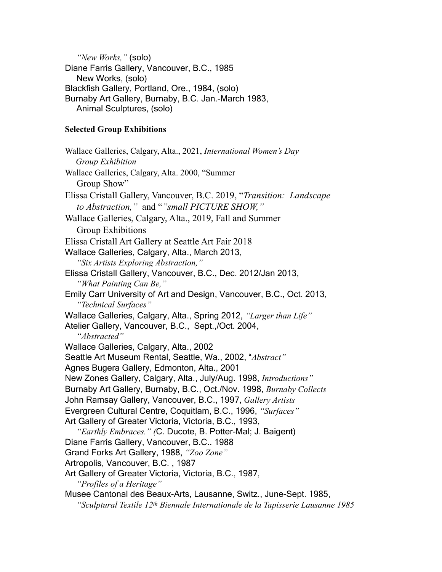*"New Works,"* (solo) Diane Farris Gallery, Vancouver, B.C., 1985 New Works, (solo) Blackfish Gallery, Portland, Ore., 1984, (solo) Burnaby Art Gallery, Burnaby, B.C. Jan.-March 1983, Animal Sculptures, (solo)

### **Selected Group Exhibitions**

Wallace Galleries, Calgary, Alta., 2021, *International Women's Day Group Exhibition*  Wallace Galleries, Calgary, Alta. 2000, "Summer Group Show" Elissa Cristall Gallery, Vancouver, B.C. 2019, "*Transition: Landscape to Abstraction,"* and "*"small PICTURE SHOW,"* Wallace Galleries, Calgary, Alta., 2019, Fall and Summer Group Exhibitions Elissa Cristall Art Gallery at Seattle Art Fair 2018 Wallace Galleries, Calgary, Alta., March 2013, *"Six Artists Exploring Abstraction,"*  Elissa Cristall Gallery, Vancouver, B.C., Dec. 2012/Jan 2013, *"What Painting Can Be,"*  Emily Carr University of Art and Design, Vancouver, B.C., Oct. 2013, *"Technical Surfaces"* Wallace Galleries, Calgary, Alta., Spring 2012, *"Larger than Life"* Atelier Gallery, Vancouver, B.C., Sept.,/Oct. 2004, *"Abstracted"* Wallace Galleries, Calgary, Alta., 2002 Seattle Art Museum Rental, Seattle, Wa., 2002, "*Abstract"* Agnes Bugera Gallery, Edmonton, Alta., 2001 New Zones Gallery, Calgary, Alta., July/Aug. 1998, *Introductions"* Burnaby Art Gallery, Burnaby, B.C., Oct./Nov. 1998, *Burnaby Collects* John Ramsay Gallery, Vancouver, B.C., 1997, *Gallery Artists* Evergreen Cultural Centre, Coquitlam, B.C., 1996, *"Surfaces"* Art Gallery of Greater Victoria, Victoria, B.C., 1993, *"Earthly Embraces." (*C. Ducote, B. Potter-Mal; J. Baigent) Diane Farris Gallery, Vancouver, B.C.. 1988 Grand Forks Art Gallery, 1988, *"Zoo Zone"* Artropolis, Vancouver, B.C. , 1987 Art Gallery of Greater Victoria, Victoria, B.C., 1987, *"Profiles of a Heritage"* Musee Cantonal des Beaux-Arts, Lausanne, Switz., June-Sept. 1985, *"Sculptural Textile 12th Biennale Internationale de la Tapisserie Lausanne 1985*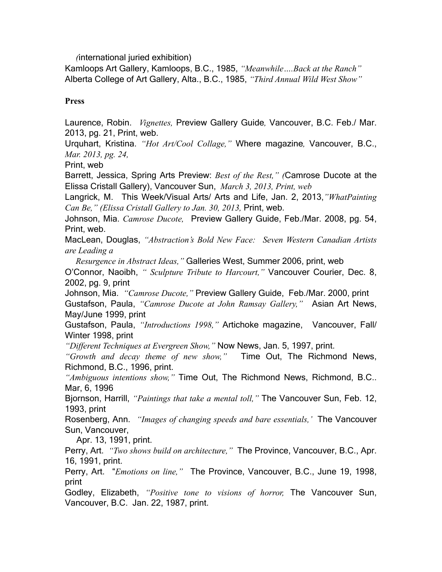*(*international juried exhibition)

Kamloops Art Gallery, Kamloops, B.C., 1985, *"Meanwhile….Back at the Ranch"* Alberta College of Art Gallery, Alta., B.C., 1985, *"Third Annual Wild West Show"*

#### **Press**

Laurence, Robin. *Vignettes,* Preview Gallery Guide*,* Vancouver, B.C. Feb./ Mar. 2013, pg. 21, Print, web.

Urquhart, Kristina. *"Hot Art/Cool Collage,"* Where magazine*,* Vancouver, B.C., *Mar. 2013, pg. 24,* 

Print, web

Barrett, Jessica, Spring Arts Preview: *Best of the Rest," (*Camrose Ducote at the Elissa Cristall Gallery), Vancouver Sun, *March 3, 2013, Print, web*

Langrick, M. This Week/Visual Arts/ Arts and Life, Jan. 2, 2013,*"WhatPainting Can Be," (Elissa Cristall Gallery to Jan. 30, 2013,* Print, web.

Johnson, Mia. *Camrose Ducote,* Preview Gallery Guide, Feb./Mar. 2008, pg. 54, Print, web.

MacLean, Douglas, *"Abstraction's Bold New Face: Seven Western Canadian Artists are Leading a*

 *Resurgence in Abstract Ideas,"* Galleries West, Summer 2006, print, web

O'Connor, Naoibh, *" Sculpture Tribute to Harcourt,"* Vancouver Courier, Dec. 8, 2002, pg. 9, print

Johnson, Mia. *"Camrose Ducote,"* Preview Gallery Guide, Feb./Mar. 2000, print Gustafson, Paula, *"Camrose Ducote at John Ramsay Gallery,"* Asian Art News, May/June 1999, print

Gustafson, Paula, *"Introductions 1998,"* Artichoke magazine, Vancouver, Fall/ Winter 1998, print

*"Different Techniques at Evergreen Show,"* Now News, Jan. 5, 1997, print.

*"Growth and decay theme of new show,"* Time Out, The Richmond News, Richmond, B.C., 1996, print.

*"Ambiguous intentions show,"* Time Out, The Richmond News, Richmond, B.C.. Mar, 6, 1996

Bjornson, Harrill, *"Paintings that take a mental toll,"* The Vancouver Sun, Feb. 12, 1993, print

Rosenberg, Ann. *"Images of changing speeds and bare essentials,'* The Vancouver Sun, Vancouver,

Apr. 13, 1991, print.

Perry, Art. *"Two shows build on architecture,"* The Province, Vancouver, B.C., Apr. 16, 1991, print.

Perry, Art. "*Emotions on line,"* The Province, Vancouver, B.C., June 19, 1998, print

Godley, Elizabeth, *"Positive tone to visions of horror,* The Vancouver Sun, Vancouver, B.C. Jan. 22, 1987, print.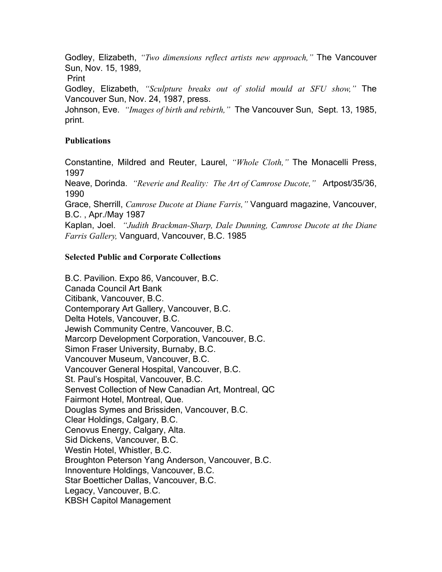Godley, Elizabeth, *"Two dimensions reflect artists new approach,"* The Vancouver Sun, Nov. 15, 1989,

Print

Godley, Elizabeth, *"Sculpture breaks out of stolid mould at SFU show,"* The Vancouver Sun, Nov. 24, 1987, press.

Johnson, Eve. *"Images of birth and rebirth,"* The Vancouver Sun, Sept. 13, 1985, print.

## **Publications**

Constantine, Mildred and Reuter, Laurel, *"Whole Cloth,"* The Monacelli Press, 1997

Neave, Dorinda. *"Reverie and Reality: The Art of Camrose Ducote,"* Artpost/35/36, 1990

Grace, Sherrill, *Camrose Ducote at Diane Farris,"* Vanguard magazine, Vancouver, B.C. , Apr./May 1987

Kaplan, Joel. *"Judith Brackman-Sharp, Dale Dunning, Camrose Ducote at the Diane Farris Gallery,* Vanguard, Vancouver, B.C. 1985

## **Selected Public and Corporate Collections**

B.C. Pavilion. Expo 86, Vancouver, B.C. Canada Council Art Bank Citibank, Vancouver, B.C. Contemporary Art Gallery, Vancouver, B.C. Delta Hotels, Vancouver, B.C. Jewish Community Centre, Vancouver, B.C. Marcorp Development Corporation, Vancouver, B.C. Simon Fraser University, Burnaby, B.C. Vancouver Museum, Vancouver, B.C. Vancouver General Hospital, Vancouver, B.C. St. Paul's Hospital, Vancouver, B.C. Senvest Collection of New Canadian Art, Montreal, QC Fairmont Hotel, Montreal, Que. Douglas Symes and Brissiden, Vancouver, B.C. Clear Holdings, Calgary, B.C. Cenovus Energy, Calgary, Alta. Sid Dickens, Vancouver, B.C. Westin Hotel, Whistler, B.C. Broughton Peterson Yang Anderson, Vancouver, B.C. Innoventure Holdings, Vancouver, B.C. Star Boetticher Dallas, Vancouver, B.C. Legacy, Vancouver, B.C. KBSH Capitol Management